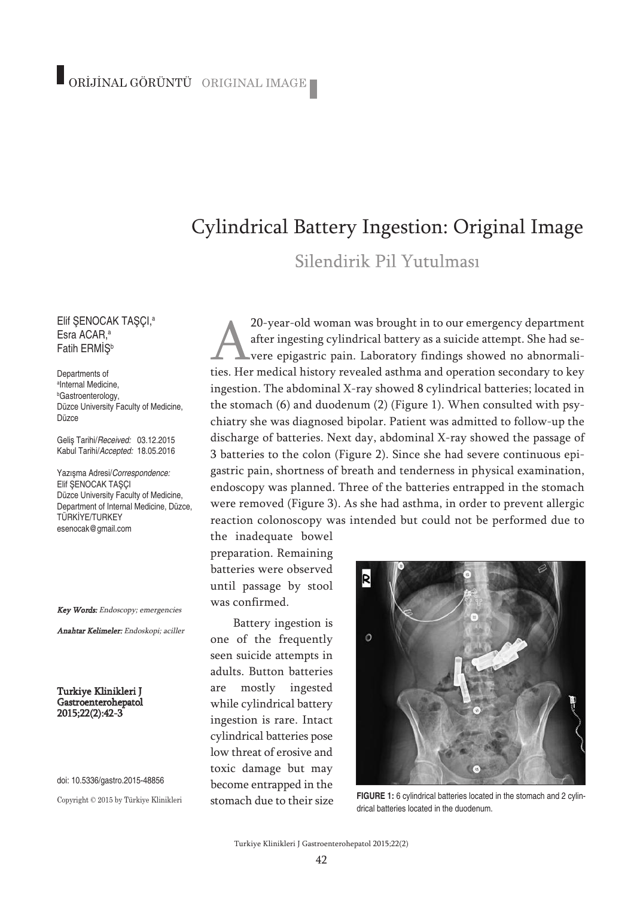## Cylindrical Battery Ingestion: Original Image

Silendirik Pil Yutulması

Elif ŞENOCAK TAŞÇI, a Esra ACAR, a Fatih ERMİS<sup>b</sup>

Departments of a Internal Medicine, b Gastroenterology, Düzce University Faculty of Medicine, Düzce

Geliş Tarihi/*Received:* 03.12.2015 Kabul Tarihi/*Accepted:* 18.05.2016

Yazışma Adresi/*Correspondence:* Elif SENOCAK TASÇI Düzce University Faculty of Medicine, Department of Internal Medicine, Düzce, TÜRKİYE/TURKEY esenocak@gmail.com

Key Words: Endoscopy; emergencies

Anahtar Kelimeler: Endoskopi; aciller

Turkiye Klinikleri J Gastroenterohepatol 2015;22(2):42-3

doi: 10.5336/gastro.2015-48856

Copyright © 2015 by Türkiye Klinikleri

20-year-old woman was brought in to our emergency department after ingesting cylindrical battery as a suicide attempt. She had severe epigastric pain. Laboratory findings showed no abnormalities. Her medical history revealed asthma and operation secondary to key ingestion. The abdominal X-ray showed 8 cylindrical batteries; located in the stomach (6) and duodenum (2) (Figure 1). When consulted with psychiatry she was diagnosed bipolar. Patient was admitted to follow-up the discharge of batteries. Next day, abdominal X-ray showed the passage of 3 batteries to the colon (Figure 2). Since she had severe continuous epigastric pain, shortness of breath and tenderness in physical examination, endoscopy was planned. Three of the batteries entrapped in the stomach were removed (Figure 3). As she had asthma, in order to prevent allergic reaction colonoscopy was intended but could not be performed due to

the inadequate bowel preparation. Remaining batteries were observed until passage by stool was confirmed.

Battery ingestion is one of the frequently seen suicide attempts in adults. Button batteries are mostly ingested while cylindrical battery ingestion is rare. Intact cylindrical batteries pose low threat of erosive and toxic damage but may become entrapped in the stomach due to their size



**FIGURE 1:** 6 cylindrical batteries located in the stomach and 2 cylindrical batteries located in the duodenum.